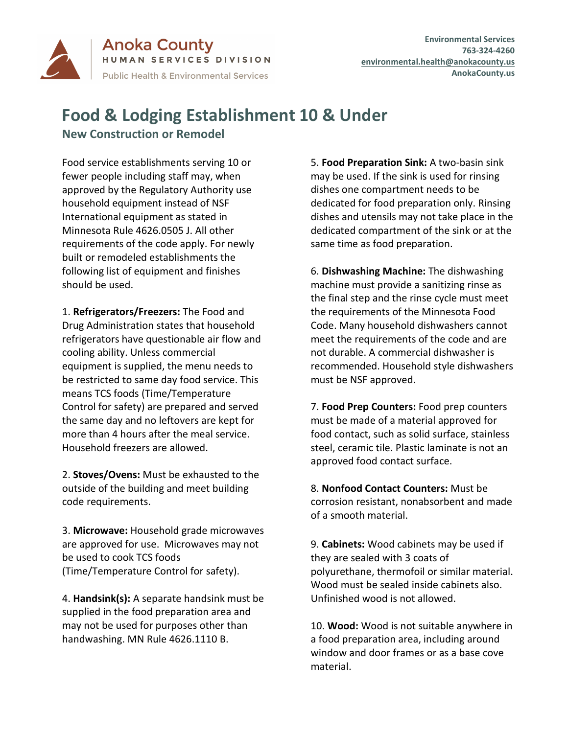

**Anoka County** HUMAN SERVICES DIVISION **Public Health & Environmental Services** 

## **Food & Lodging Establishment 10 & Under**

**New Construction or Remodel**

Food service establishments serving 10 or fewer people including staff may, when approved by the Regulatory Authority use household equipment instead of NSF International equipment as stated in Minnesota Rule 4626.0505 J. All other requirements of the code apply. For newly built or remodeled establishments the following list of equipment and finishes should be used.

1. **Refrigerators/Freezers:** The Food and Drug Administration states that household refrigerators have questionable air flow and cooling ability. Unless commercial equipment is supplied, the menu needs to be restricted to same day food service. This means TCS foods (Time/Temperature Control for safety) are prepared and served the same day and no leftovers are kept for more than 4 hours after the meal service. Household freezers are allowed.

2. **Stoves/Ovens:** Must be exhausted to the outside of the building and meet building code requirements.

3. **Microwave:** Household grade microwaves are approved for use. Microwaves may not be used to cook TCS foods (Time/Temperature Control for safety).

4. **Handsink(s):** A separate handsink must be supplied in the food preparation area and may not be used for purposes other than handwashing. MN Rule 4626.1110 B.

5. **Food Preparation Sink:** A two-basin sink may be used. If the sink is used for rinsing dishes one compartment needs to be dedicated for food preparation only. Rinsing dishes and utensils may not take place in the dedicated compartment of the sink or at the same time as food preparation.

6. **Dishwashing Machine:** The dishwashing machine must provide a sanitizing rinse as the final step and the rinse cycle must meet the requirements of the Minnesota Food Code. Many household dishwashers cannot meet the requirements of the code and are not durable. A commercial dishwasher is recommended. Household style dishwashers must be NSF approved.

7. **Food Prep Counters:** Food prep counters must be made of a material approved for food contact, such as solid surface, stainless steel, ceramic tile. Plastic laminate is not an approved food contact surface.

8. **Nonfood Contact Counters:** Must be corrosion resistant, nonabsorbent and made of a smooth material.

9. **Cabinets:** Wood cabinets may be used if they are sealed with 3 coats of polyurethane, thermofoil or similar material. Wood must be sealed inside cabinets also. Unfinished wood is not allowed.

10. **Wood:** Wood is not suitable anywhere in a food preparation area, including around window and door frames or as a base cove material.